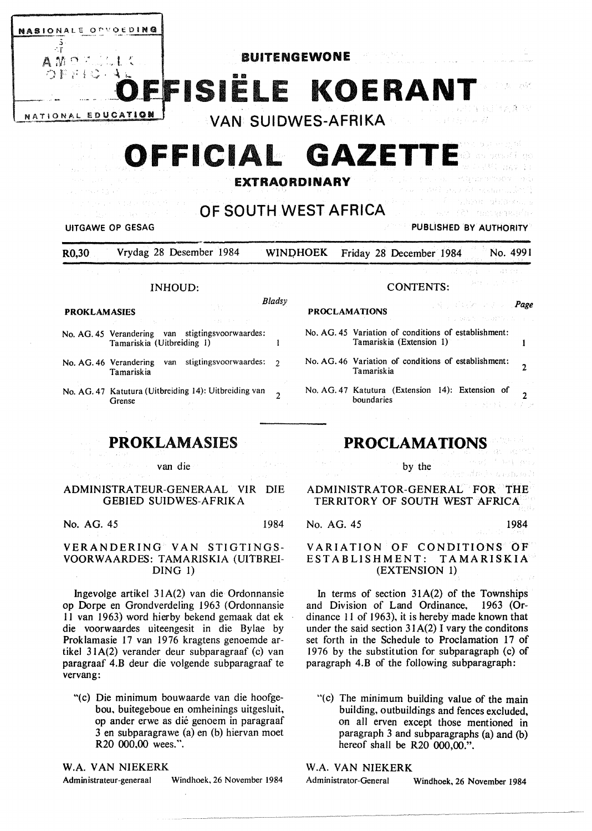

R0,30 Vrydag 28 Desember 1984 WINDHOEK Friday 28 December 1984 No. 4991

#### INHOUD:

*Bladsy* 

- **PROKLAMASIES**
- No. AG. 45 Verandering van stigtingsvoorwaardes: Tamariskia (Uitbreiding I)
- No. AG. 46 Verandering van stigtingsvoorwaardes: 2 Tamariskia
- No. AG. 47 Katutura (Uitbreiding 14): Uitbreiding van Grense

**PROKLAMASIES** 

van die

## **ADMINISTRA** TEUR-GENERAAL VIR DIE GEBIED SUIDWES-AFRIKA

No. AG. 45 1984

#### VERANDERING VAN STIGTINGS-VOORWAARDES: TAMARISKIA (UlTBREI-DING 1)

lngevolge artikel 3 I A(2) van die Ordonnansie op Dorpe en Grondverdeling 1963 (Ordonnansie I I van I 963) word hierby bekend gemaak dat ek die voorwaardes uiteengesit in die Bylae by Proklamasie 17 van 1976 kragtens genoemde artikel 31A(2) verander deur subparagraaf (c) van paragraaf 4.B deur die volgende subparagraaf te vervang:

"(c) Die minimum bouwaarde van die hoofgebou, buitegeboue en omheinings uitgesluit, op ander erwe as die genoem in paragraaf 3 en subparagrawe (a) en (b) hiervan moet R20 000,00 wees.".

**W.A.** VAN NIEKERK

Administrateur-generaal Windhoek, 26 November 1984

# **PROCLAMATIONS**

# ADMINISTRATOR-GENERAL FOR THE TERRITORY OF SOUTH WEST AFRICA

CONTENTS:

No. AG. 45 Variation of conditions of establishment: Tamariskia (Extension 1)

No. AG. 46 Variation of conditions of establishment:

No. AG. 47 Katutura (Extension 14): Extension of

No. AG. 45 1984

VARIATION OF CONDITIONS OF ESTABLISHMENT: **TAMARISKIA**  (EXTENSION 1)

In terms of section  $31A(2)$  of the Townships and Division of Land Ordinance, 1963 (Ordinance 11 of 1963), it is hereby made known that under the said section  $31A(2)$  I vary the conditions set forth in the Schedule to Proclamation 17 of 1976 by the substitution for subparagraph (c) of paragraph 4.B of the following subparagraph:

"(c) The minimum building value of the main building, outbuildings and fences excluded, on all erven except those mentioned in paragraph 3 and subparagraphs (a) and (b) hereof shall be R20 000,00.".

# W.A. VAN NIEKERK

Administrator-General Windhoek, 26 November 1984

Page

 $\overline{2}$ 

1

2

by the

Tamariskia

boundaries

**PROCLAMATIONS**